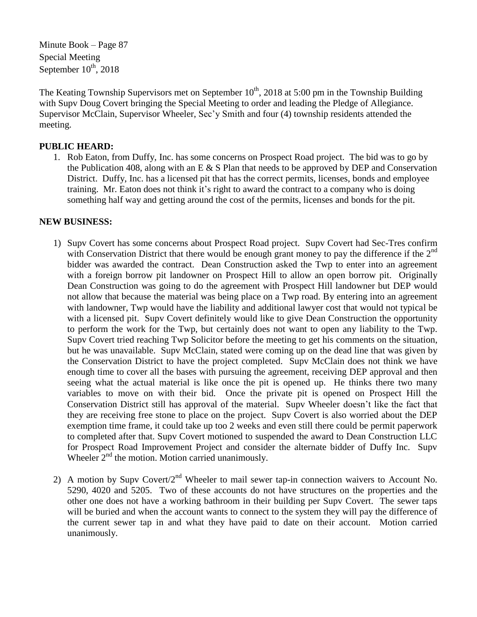Minute Book – Page 87 Special Meeting September  $10^{th}$ , 2018

The Keating Township Supervisors met on September  $10^{th}$ , 2018 at 5:00 pm in the Township Building with Supv Doug Covert bringing the Special Meeting to order and leading the Pledge of Allegiance. Supervisor McClain, Supervisor Wheeler, Sec'y Smith and four (4) township residents attended the meeting.

## **PUBLIC HEARD:**

1. Rob Eaton, from Duffy, Inc. has some concerns on Prospect Road project. The bid was to go by the Publication 408, along with an E  $\&$  S Plan that needs to be approved by DEP and Conservation District. Duffy, Inc. has a licensed pit that has the correct permits, licenses, bonds and employee training. Mr. Eaton does not think it's right to award the contract to a company who is doing something half way and getting around the cost of the permits, licenses and bonds for the pit.

## **NEW BUSINESS:**

- 1) Supv Covert has some concerns about Prospect Road project. Supv Covert had Sec-Tres confirm with Conservation District that there would be enough grant money to pay the difference if the  $2<sup>nd</sup>$ bidder was awarded the contract. Dean Construction asked the Twp to enter into an agreement with a foreign borrow pit landowner on Prospect Hill to allow an open borrow pit. Originally Dean Construction was going to do the agreement with Prospect Hill landowner but DEP would not allow that because the material was being place on a Twp road. By entering into an agreement with landowner, Twp would have the liability and additional lawyer cost that would not typical be with a licensed pit. Supv Covert definitely would like to give Dean Construction the opportunity to perform the work for the Twp, but certainly does not want to open any liability to the Twp. Supv Covert tried reaching Twp Solicitor before the meeting to get his comments on the situation, but he was unavailable. Supv McClain, stated were coming up on the dead line that was given by the Conservation District to have the project completed. Supv McClain does not think we have enough time to cover all the bases with pursuing the agreement, receiving DEP approval and then seeing what the actual material is like once the pit is opened up. He thinks there two many variables to move on with their bid. Once the private pit is opened on Prospect Hill the Conservation District still has approval of the material. Supv Wheeler doesn't like the fact that they are receiving free stone to place on the project. Supv Covert is also worried about the DEP exemption time frame, it could take up too 2 weeks and even still there could be permit paperwork to completed after that. Supv Covert motioned to suspended the award to Dean Construction LLC for Prospect Road Improvement Project and consider the alternate bidder of Duffy Inc. Supv Wheeler  $2<sup>nd</sup>$  the motion. Motion carried unanimously.
- 2) A motion by Supv Covert/2<sup>nd</sup> Wheeler to mail sewer tap-in connection waivers to Account No. 5290, 4020 and 5205. Two of these accounts do not have structures on the properties and the other one does not have a working bathroom in their building per Supv Covert. The sewer taps will be buried and when the account wants to connect to the system they will pay the difference of the current sewer tap in and what they have paid to date on their account. Motion carried unanimously.